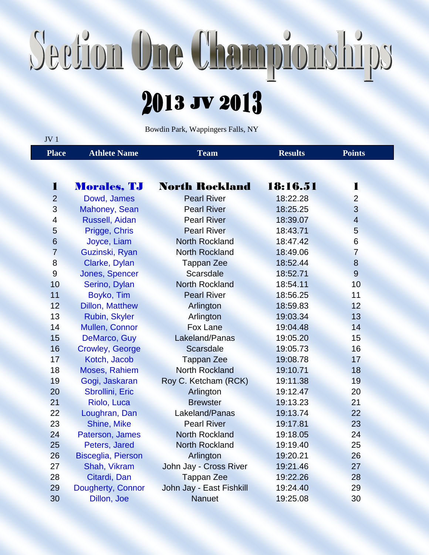## Section One Championships

## 2013 JV 2013

Bowdin Park, Wappingers Falls, NY

| JV <sub>1</sub> |                           |                          |                |                |  |
|-----------------|---------------------------|--------------------------|----------------|----------------|--|
| <b>Place</b>    | <b>Athlete Name</b>       | <b>Team</b>              | <b>Results</b> | <b>Points</b>  |  |
|                 |                           |                          |                |                |  |
| 1               | <b>Morales, TJ</b>        | <b>North Rockland</b>    | 18:16.51       | 1              |  |
| $\overline{2}$  | Dowd, James               | <b>Pearl River</b>       | 18:22.28       | $\overline{2}$ |  |
| 3               | Mahoney, Sean             | <b>Pearl River</b>       | 18:25.25       | 3              |  |
| $\overline{4}$  | Russell, Aidan            | <b>Pearl River</b>       | 18:39.07       | $\overline{4}$ |  |
| 5               | Prigge, Chris             | <b>Pearl River</b>       | 18:43.71       | 5              |  |
| $6\phantom{1}6$ | Joyce, Liam               | <b>North Rockland</b>    | 18:47.42       | 6              |  |
| $\overline{7}$  | Guzinski, Ryan            | <b>North Rockland</b>    | 18:49.06       | $\overline{7}$ |  |
| 8               | Clarke, Dylan             | <b>Tappan Zee</b>        | 18:52.44       | 8              |  |
| 9               | Jones, Spencer            | <b>Scarsdale</b>         | 18:52.71       | $\overline{9}$ |  |
| 10              | Serino, Dylan             | <b>North Rockland</b>    | 18:54.11       | 10             |  |
| 11              | Boyko, Tim                | <b>Pearl River</b>       | 18:56.25       | 11             |  |
| 12              | <b>Dillon, Matthew</b>    | Arlington                | 18:59.83       | 12             |  |
| 13              | Rubin, Skyler             | Arlington                | 19:03.34       | 13             |  |
| 14              | <b>Mullen, Connor</b>     | <b>Fox Lane</b>          | 19:04.48       | 14             |  |
| 15              | DeMarco, Guy              | Lakeland/Panas           | 19:05.20       | 15             |  |
| 16              | <b>Crowley, George</b>    | <b>Scarsdale</b>         | 19:05.73       | 16             |  |
| 17              | Kotch, Jacob              | <b>Tappan Zee</b>        | 19:08.78       | 17             |  |
| 18              | <b>Moses, Rahiem</b>      | <b>North Rockland</b>    | 19:10.71       | 18             |  |
| 19              | Gogi, Jaskaran            | Roy C. Ketcham (RCK)     | 19:11.38       | 19             |  |
| 20              | Sbrollini, Eric           | Arlington                | 19:12.47       | 20             |  |
| 21              | Riolo, Luca               | <b>Brewster</b>          | 19:13.23       | 21             |  |
| 22              | Loughran, Dan             | Lakeland/Panas           | 19:13.74       | 22             |  |
| 23              | Shine, Mike               | <b>Pearl River</b>       | 19:17.81       | 23             |  |
| 24              | Paterson, James           | <b>North Rockland</b>    | 19:18.05       | 24             |  |
| 25              | Peters, Jared             | <b>North Rockland</b>    | 19:19.40       | 25             |  |
| 26              | <b>Bisceglia, Pierson</b> | Arlington                | 19:20.21       | 26             |  |
| 27              | Shah, Vikram              | John Jay - Cross River   | 19:21.46       | 27             |  |
| 28              | Citardi, Dan              | <b>Tappan Zee</b>        | 19:22.26       | 28             |  |
| 29              | Dougherty, Connor         | John Jay - East Fishkill | 19:24.40       | 29             |  |
| 30              | Dillon, Joe               | <b>Nanuet</b>            | 19:25.08       | 30             |  |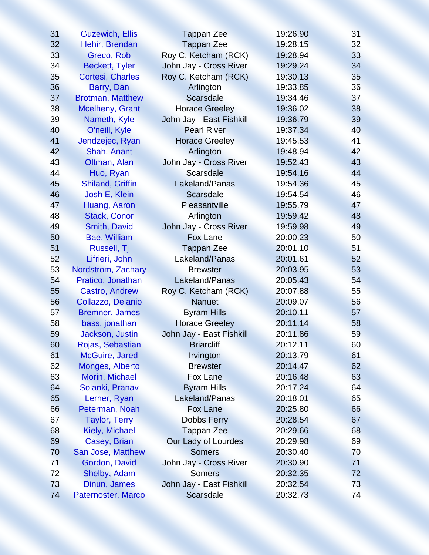| 31 | <b>Guzewich, Ellis</b>  | <b>Tappan Zee</b>        | 19:26.90 | 31 |
|----|-------------------------|--------------------------|----------|----|
| 32 | Hehir, Brendan          | <b>Tappan Zee</b>        | 19:28.15 | 32 |
| 33 | Greco, Rob              | Roy C. Ketcham (RCK)     | 19:28.94 | 33 |
| 34 | <b>Beckett, Tyler</b>   | John Jay - Cross River   | 19:29.24 | 34 |
| 35 | Cortesi, Charles        | Roy C. Ketcham (RCK)     | 19:30.13 | 35 |
| 36 | Barry, Dan              | Arlington                | 19:33.85 | 36 |
| 37 | <b>Brotman, Matthew</b> | <b>Scarsdale</b>         | 19:34.46 | 37 |
| 38 | <b>Mcelheny, Grant</b>  | <b>Horace Greeley</b>    | 19:36.02 | 38 |
| 39 | Nameth, Kyle            | John Jay - East Fishkill | 19:36.79 | 39 |
| 40 | O'neill, Kyle           | <b>Pearl River</b>       | 19:37.34 | 40 |
| 41 | Jendzejec, Ryan         | <b>Horace Greeley</b>    | 19:45.53 | 41 |
| 42 | Shah, Anant             | Arlington                | 19:48.94 | 42 |
| 43 | Oltman, Alan            | John Jay - Cross River   | 19:52.43 | 43 |
| 44 | Huo, Ryan               | <b>Scarsdale</b>         | 19:54.16 | 44 |
| 45 | <b>Shiland, Griffin</b> | Lakeland/Panas           | 19:54.36 | 45 |
| 46 | Josh E, Klein           | <b>Scarsdale</b>         | 19:54.54 | 46 |
| 47 | Huang, Aaron            | Pleasantville            | 19:55.79 | 47 |
| 48 | <b>Stack, Conor</b>     | Arlington                | 19:59.42 | 48 |
| 49 | Smith, David            | John Jay - Cross River   | 19:59.98 | 49 |
| 50 | Bae, William            | <b>Fox Lane</b>          | 20:00.23 | 50 |
| 51 | Russell, Tj             | <b>Tappan Zee</b>        | 20:01.10 | 51 |
| 52 | Lifrieri, John          | Lakeland/Panas           | 20:01.61 | 52 |
| 53 | Nordstrom, Zachary      | <b>Brewster</b>          | 20:03.95 | 53 |
| 54 | Pratico, Jonathan       | Lakeland/Panas           | 20:05.43 | 54 |
| 55 | Castro, Andrew          | Roy C. Ketcham (RCK)     | 20:07.88 | 55 |
| 56 | Collazzo, Delanio       | <b>Nanuet</b>            | 20:09.07 | 56 |
| 57 | <b>Bremner, James</b>   | <b>Byram Hills</b>       | 20:10.11 | 57 |
| 58 | bass, jonathan          | <b>Horace Greeley</b>    | 20:11.14 | 58 |
| 59 | Jackson, Justin         | John Jay - East Fishkill | 20:11.86 | 59 |
| 60 | Rojas, Sebastian        | <b>Briarcliff</b>        | 20:12.11 | 60 |
| 61 | McGuire, Jared          | Irvington                | 20:13.79 | 61 |
| 62 | Monges, Alberto         | <b>Brewster</b>          | 20:14.47 | 62 |
| 63 | Morin, Michael          | <b>Fox Lane</b>          | 20:16.48 | 63 |
| 64 | Solanki, Pranav         | <b>Byram Hills</b>       | 20:17.24 | 64 |
| 65 | Lerner, Ryan            | Lakeland/Panas           | 20:18.01 | 65 |
| 66 | Peterman, Noah          | <b>Fox Lane</b>          | 20:25.80 | 66 |
| 67 | <b>Taylor, Terry</b>    | Dobbs Ferry              | 20:28.54 | 67 |
| 68 | Kiely, Michael          | <b>Tappan Zee</b>        | 20:29.66 | 68 |
| 69 | Casey, Brian            | Our Lady of Lourdes      | 20:29.98 | 69 |
| 70 | San Jose, Matthew       | <b>Somers</b>            | 20:30.40 | 70 |
| 71 | Gordon, David           | John Jay - Cross River   | 20:30.90 | 71 |
| 72 | Shelby, Adam            | <b>Somers</b>            | 20:32.35 | 72 |
| 73 | Dinun, James            | John Jay - East Fishkill | 20:32.54 | 73 |
| 74 | Paternoster, Marco      | <b>Scarsdale</b>         | 20:32.73 | 74 |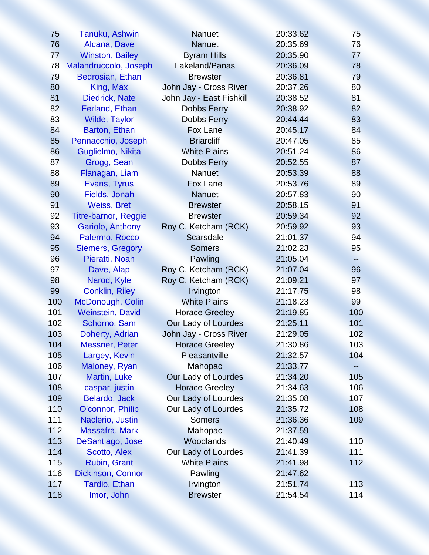| 75  | Tanuku, Ashwin              | <b>Nanuet</b>            | 20:33.62 | 75  |
|-----|-----------------------------|--------------------------|----------|-----|
| 76  | Alcana, Dave                | <b>Nanuet</b>            | 20:35.69 | 76  |
| 77  | <b>Winston, Bailey</b>      | <b>Byram Hills</b>       | 20:35.90 | 77  |
| 78  | Malandruccolo, Joseph       | Lakeland/Panas           | 20:36.09 | 78  |
| 79  | Bedrosian, Ethan            | <b>Brewster</b>          | 20:36.81 | 79  |
| 80  | King, Max                   | John Jay - Cross River   | 20:37.26 | 80  |
| 81  | Diedrick, Nate              | John Jay - East Fishkill | 20:38.52 | 81  |
| 82  | Ferland, Ethan              | <b>Dobbs Ferry</b>       | 20:38.92 | 82  |
| 83  | <b>Wilde, Taylor</b>        | <b>Dobbs Ferry</b>       | 20:44.44 | 83  |
| 84  | Barton, Ethan               | <b>Fox Lane</b>          | 20:45.17 | 84  |
| 85  | Pennacchio, Joseph          | <b>Briarcliff</b>        | 20:47.05 | 85  |
| 86  | Guglielmo, Nikita           | <b>White Plains</b>      | 20:51.24 | 86  |
| 87  | Grogg, Sean                 | <b>Dobbs Ferry</b>       | 20:52.55 | 87  |
| 88  | Flanagan, Liam              | Nanuet                   | 20:53.39 | 88  |
| 89  | Evans, Tyrus                | <b>Fox Lane</b>          | 20:53.76 | 89  |
| 90  | Fields, Jonah               | <b>Nanuet</b>            | 20:57.83 | 90  |
| 91  | <b>Weiss, Bret</b>          | <b>Brewster</b>          | 20:58.15 | 91  |
| 92  | <b>Titre-barnor, Reggie</b> | <b>Brewster</b>          | 20:59.34 | 92  |
| 93  | Gariolo, Anthony            | Roy C. Ketcham (RCK)     | 20:59.92 | 93  |
| 94  | Palermo, Rocco              | <b>Scarsdale</b>         | 21:01.37 | 94  |
| 95  | <b>Siemers, Gregory</b>     | <b>Somers</b>            | 21:02.23 | 95  |
| 96  | Pieratti, Noah              | Pawling                  | 21:05.04 | --  |
| 97  | Dave, Alap                  | Roy C. Ketcham (RCK)     | 21:07.04 | 96  |
| 98  | Narod, Kyle                 | Roy C. Ketcham (RCK)     | 21:09.21 | 97  |
| 99  | <b>Conklin, Riley</b>       | Irvington                | 21:17.75 | 98  |
| 100 | McDonough, Colin            | <b>White Plains</b>      | 21:18.23 | 99  |
| 101 | <b>Weinstein, David</b>     | <b>Horace Greeley</b>    | 21:19.85 | 100 |
| 102 | Schorno, Sam                | Our Lady of Lourdes      | 21:25.11 | 101 |
| 103 | Doherty, Adrian             | John Jay - Cross River   | 21:29.05 | 102 |
| 104 | <b>Messner, Peter</b>       | <b>Horace Greeley</b>    | 21:30.86 | 103 |
| 105 | Largey, Kevin               | Pleasantville            | 21:32.57 | 104 |
| 106 | Maloney, Ryan               | Mahopac                  | 21:33.77 |     |
| 107 | <b>Martin, Luke</b>         | Our Lady of Lourdes      | 21:34.20 | 105 |
| 108 | caspar, justin              | <b>Horace Greeley</b>    | 21:34.63 | 106 |
| 109 | Belardo, Jack               | Our Lady of Lourdes      | 21:35.08 | 107 |
| 110 | O'connor, Philip            | Our Lady of Lourdes      | 21:35.72 | 108 |
| 111 | Naclerio, Justin            | <b>Somers</b>            | 21:36.36 | 109 |
| 112 | <b>Massafra, Mark</b>       | Mahopac                  | 21:37.59 | --  |
| 113 | DeSantiago, Jose            | Woodlands                | 21:40.49 | 110 |
| 114 | Scotto, Alex                | Our Lady of Lourdes      | 21:41.39 | 111 |
| 115 | Rubin, Grant                | <b>White Plains</b>      | 21:41.98 | 112 |
| 116 | <b>Dickinson, Connor</b>    | Pawling                  | 21:47.62 |     |
| 117 | Tardio, Ethan               | Irvington                | 21:51.74 | 113 |
| 118 | Imor, John                  | <b>Brewster</b>          | 21:54.54 | 114 |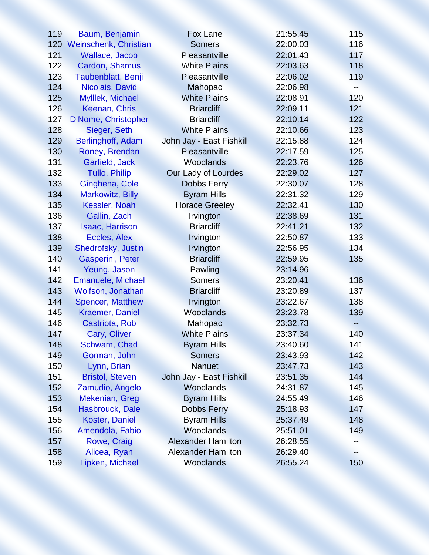| 119 | Baum, Benjamin               | <b>Fox Lane</b>           | 21:55.45 | 115 |
|-----|------------------------------|---------------------------|----------|-----|
| 120 | <b>Weinschenk, Christian</b> | <b>Somers</b>             | 22:00.03 | 116 |
| 121 | Wallace, Jacob               | Pleasantville             | 22:01.43 | 117 |
| 122 | Cardon, Shamus               | <b>White Plains</b>       | 22:03.63 | 118 |
| 123 | Taubenblatt, Benji           | Pleasantville             | 22:06.02 | 119 |
| 124 | Nicolais, David              | Mahopac                   | 22:06.98 | --  |
| 125 | Mylllek, Michael             | <b>White Plains</b>       | 22:08.91 | 120 |
| 126 | Keenan, Chris                | <b>Briarcliff</b>         | 22:09.11 | 121 |
| 127 | DiNome, Christopher          | <b>Briarcliff</b>         | 22:10.14 | 122 |
| 128 | Sieger, Seth                 | <b>White Plains</b>       | 22:10.66 | 123 |
| 129 | Berlinghoff, Adam            | John Jay - East Fishkill  | 22:15.88 | 124 |
| 130 | Roney, Brendan               | Pleasantville             | 22:17.59 | 125 |
| 131 | Garfield, Jack               | <b>Woodlands</b>          | 22:23.76 | 126 |
| 132 | <b>Tullo, Philip</b>         | Our Lady of Lourdes       | 22:29.02 | 127 |
| 133 | Ginghena, Cole               | <b>Dobbs Ferry</b>        | 22:30.07 | 128 |
| 134 | <b>Markowitz, Billy</b>      | <b>Byram Hills</b>        | 22:31.32 | 129 |
| 135 | Kessler, Noah                | <b>Horace Greeley</b>     | 22:32.41 | 130 |
| 136 | Gallin, Zach                 | Irvington                 | 22:38.69 | 131 |
| 137 | <b>Isaac, Harrison</b>       | <b>Briarcliff</b>         | 22:41.21 | 132 |
| 138 | Eccles, Alex                 | Irvington                 | 22:50.87 | 133 |
| 139 | Shedrofsky, Justin           | Irvington                 | 22:56.95 | 134 |
| 140 | Gasperini, Peter             | <b>Briarcliff</b>         | 22:59.95 | 135 |
| 141 | Yeung, Jason                 | Pawling                   | 23:14.96 |     |
| 142 | <b>Emanuele, Michael</b>     | <b>Somers</b>             | 23:20.41 | 136 |
| 143 | <b>Wolfson, Jonathan</b>     | <b>Briarcliff</b>         | 23:20.89 | 137 |
| 144 | <b>Spencer, Matthew</b>      | Irvington                 | 23:22.67 | 138 |
| 145 | <b>Kraemer, Daniel</b>       | Woodlands                 | 23:23.78 | 139 |
| 146 | Castriota, Rob               | Mahopac                   | 23:32.73 | --  |
| 147 | Cary, Oliver                 | <b>White Plains</b>       | 23:37.34 | 140 |
| 148 | Schwam, Chad                 | <b>Byram Hills</b>        | 23:40.60 | 141 |
| 149 | Gorman, John                 | <b>Somers</b>             | 23:43.93 | 142 |
| 150 | Lynn, Brian                  | <b>Nanuet</b>             | 23:47.73 | 143 |
| 151 | <b>Bristol, Steven</b>       | John Jay - East Fishkill  | 23:51.35 | 144 |
| 152 | Zamudio, Angelo              | Woodlands                 | 24:31.87 | 145 |
| 153 | Mekenian, Greg               | <b>Byram Hills</b>        | 24:55.49 | 146 |
| 154 | Hasbrouck, Dale              | <b>Dobbs Ferry</b>        | 25:18.93 | 147 |
| 155 | <b>Koster, Daniel</b>        | <b>Byram Hills</b>        | 25:37.49 | 148 |
| 156 | Amendola, Fabio              | Woodlands                 | 25:51.01 | 149 |
| 157 | Rowe, Craig                  | <b>Alexander Hamilton</b> | 26:28.55 |     |
| 158 | Alicea, Ryan                 | <b>Alexander Hamilton</b> | 26:29.40 |     |
| 159 | Lipken, Michael              | Woodlands                 | 26:55.24 | 150 |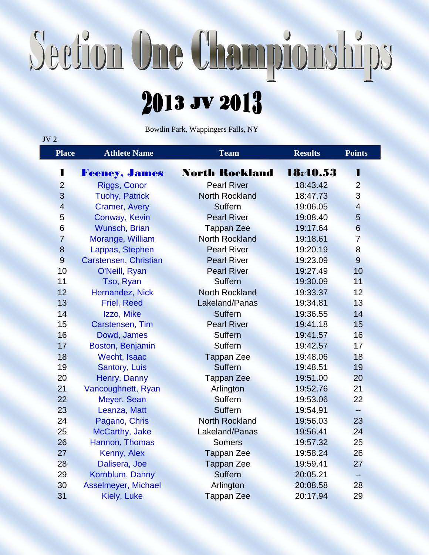## Section One Championships

## 2013 JV 2013

Bowdin Park, Wappingers Falls, NY

 $JV<sub>2</sub>$ 

| <b>Place</b>   | <b>Athlete Name</b>   | <b>Team</b>           | <b>Results</b> | <b>Points</b>  |
|----------------|-----------------------|-----------------------|----------------|----------------|
| 1              | Feeney, James         | <b>North Rockland</b> | 18:40.53       | I              |
| $\overline{2}$ | Riggs, Conor          | <b>Pearl River</b>    | 18:43.42       | $\overline{2}$ |
| 3              | <b>Tuohy, Patrick</b> | <b>North Rockland</b> | 18:47.73       | 3              |
| $\overline{4}$ | <b>Cramer, Avery</b>  | Suffern               | 19:06.05       | $\overline{4}$ |
| 5              | Conway, Kevin         | <b>Pearl River</b>    | 19:08.40       | 5              |
| 6              | Wunsch, Brian         | <b>Tappan Zee</b>     | 19:17.64       | 6              |
| $\overline{7}$ | Morange, William      | <b>North Rockland</b> | 19:18.61       | $\overline{7}$ |
| 8              | Lappas, Stephen       | <b>Pearl River</b>    | 19:20.19       | 8              |
| 9              | Carstensen, Christian | <b>Pearl River</b>    | 19:23.09       | 9              |
| 10             | O'Neill, Ryan         | <b>Pearl River</b>    | 19:27.49       | 10             |
| 11             | Tso, Ryan             | <b>Suffern</b>        | 19:30.09       | 11             |
| 12             | Hernandez, Nick       | <b>North Rockland</b> | 19:33.37       | 12             |
| 13             | <b>Friel, Reed</b>    | Lakeland/Panas        | 19:34.81       | 13             |
| 14             | Izzo, Mike            | <b>Suffern</b>        | 19:36.55       | 14             |
| 15             | Carstensen, Tim       | <b>Pearl River</b>    | 19:41.18       | 15             |
| 16             | Dowd, James           | <b>Suffern</b>        | 19:41.57       | 16             |
| 17             | Boston, Benjamin      | <b>Suffern</b>        | 19:42.57       | 17             |
| 18             | Wecht, Isaac          | <b>Tappan Zee</b>     | 19:48.06       | 18             |
| 19             | Santory, Luis         | <b>Suffern</b>        | 19:48.51       | 19             |
| 20             | Henry, Danny          | <b>Tappan Zee</b>     | 19:51.00       | 20             |
| 21             | Vancoughnett, Ryan    | Arlington             | 19:52.76       | 21             |
| 22             | Meyer, Sean           | Suffern               | 19:53.06       | 22             |
| 23             | Leanza, Matt          | <b>Suffern</b>        | 19:54.91       | $-$            |
| 24             | Pagano, Chris         | <b>North Rockland</b> | 19:56.03       | 23             |
| 25             | McCarthy, Jake        | Lakeland/Panas        | 19:56.41       | 24             |
| 26             | Hannon, Thomas        | <b>Somers</b>         | 19:57.32       | 25             |
| 27             | Kenny, Alex           | <b>Tappan Zee</b>     | 19:58.24       | 26             |
| 28             | Dalisera, Joe         | <b>Tappan Zee</b>     | 19:59.41       | 27             |
| 29             | Kornblum, Danny       | <b>Suffern</b>        | 20:05.21       | $- -$          |
| 30             | Asselmeyer, Michael   | Arlington             | 20:08.58       | 28             |
| 31             | Kiely, Luke           | <b>Tappan Zee</b>     | 20:17.94       | 29             |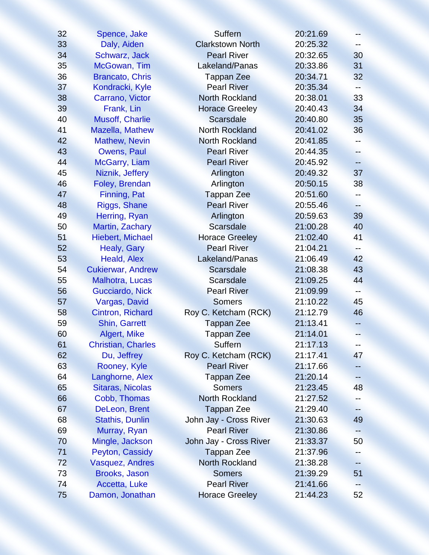| 32 | Spence, Jake              | <b>Suffern</b>          | 20:21.69 | $--$            |
|----|---------------------------|-------------------------|----------|-----------------|
| 33 | Daly, Aiden               | <b>Clarkstown North</b> | 20:25.32 |                 |
| 34 | Schwarz, Jack             | <b>Pearl River</b>      | 20:32.65 | 30              |
| 35 | McGowan, Tim              | Lakeland/Panas          | 20:33.86 | 31              |
| 36 | <b>Brancato, Chris</b>    | <b>Tappan Zee</b>       | 20:34.71 | 32 <sup>2</sup> |
| 37 | Kondracki, Kyle           | <b>Pearl River</b>      | 20:35.34 | --              |
| 38 | Carrano, Victor           | <b>North Rockland</b>   | 20:38.01 | 33              |
| 39 | Frank, Lin                | <b>Horace Greeley</b>   | 20:40.43 | 34              |
| 40 | <b>Musoff, Charlie</b>    | <b>Scarsdale</b>        | 20:40.80 | 35              |
| 41 | <b>Mazella, Mathew</b>    | <b>North Rockland</b>   | 20:41.02 | 36              |
| 42 | <b>Mathew, Nevin</b>      | <b>North Rockland</b>   | 20:41.85 | --              |
| 43 | Owens, Paul               | <b>Pearl River</b>      | 20:44.35 | -−              |
| 44 | McGarry, Liam             | <b>Pearl River</b>      | 20:45.92 | --              |
| 45 | Niznik, Jeffery           | Arlington               | 20:49.32 | 37              |
| 46 | Foley, Brendan            | Arlington               | 20:50.15 | 38              |
| 47 | Finning, Pat              | <b>Tappan Zee</b>       | 20:51.60 | -−              |
| 48 | Riggs, Shane              | <b>Pearl River</b>      | 20:55.46 | -−              |
| 49 | Herring, Ryan             | Arlington               | 20:59.63 | 39              |
| 50 | Martin, Zachary           | <b>Scarsdale</b>        | 21:00.28 | 40              |
| 51 | <b>Hiebert, Michael</b>   | <b>Horace Greeley</b>   | 21:02.40 | 41              |
| 52 | Healy, Gary               | <b>Pearl River</b>      | 21:04.21 | ÷               |
| 53 | Heald, Alex               | Lakeland/Panas          | 21:06.49 | 42              |
| 54 | <b>Cukierwar, Andrew</b>  | <b>Scarsdale</b>        | 21:08.38 | 43              |
| 55 | <b>Malhotra, Lucas</b>    | <b>Scarsdale</b>        | 21:09.25 | 44              |
| 56 | Gucciardo, Nick           | <b>Pearl River</b>      | 21:09.99 | --              |
| 57 | Vargas, David             | <b>Somers</b>           | 21:10.22 | 45              |
| 58 | Cintron, Richard          | Roy C. Ketcham (RCK)    | 21:12.79 | 46              |
| 59 | <b>Shin, Garrett</b>      | <b>Tappan Zee</b>       | 21:13.41 | ÷.              |
| 60 | <b>Algert, Mike</b>       | <b>Tappan Zee</b>       | 21:14.01 | --              |
| 61 | <b>Christian, Charles</b> | Suffern                 | 21:17.13 | $- -$           |
| 62 | Du, Jeffrey               | Roy C. Ketcham (RCK)    | 21:17.41 | 47              |
| 63 | Rooney, Kyle              | <b>Pearl River</b>      | 21:17.66 |                 |
| 64 | Langhorne, Alex           | <b>Tappan Zee</b>       | 21:20.14 |                 |
| 65 | <b>Sitaras, Nicolas</b>   | <b>Somers</b>           | 21:23.45 | 48              |
| 66 | Cobb, Thomas              | <b>North Rockland</b>   | 21:27.52 |                 |
| 67 | DeLeon, Brent             | <b>Tappan Zee</b>       | 21:29.40 |                 |
| 68 | <b>Stathis, Dunlin</b>    | John Jay - Cross River  | 21:30.63 | 49              |
| 69 | Murray, Ryan              | <b>Pearl River</b>      | 21:30.86 | --              |
| 70 | Mingle, Jackson           | John Jay - Cross River  | 21:33.37 | 50              |
| 71 | Peyton, Cassidy           | <b>Tappan Zee</b>       | 21:37.96 | -∸              |
| 72 | <b>Vasquez, Andres</b>    | <b>North Rockland</b>   | 21:38.28 | --              |
| 73 | Brooks, Jason             | <b>Somers</b>           | 21:39.29 | 51              |
| 74 | Accetta, Luke             | <b>Pearl River</b>      | 21:41.66 |                 |
| 75 | Damon, Jonathan           | <b>Horace Greeley</b>   | 21:44.23 | 52              |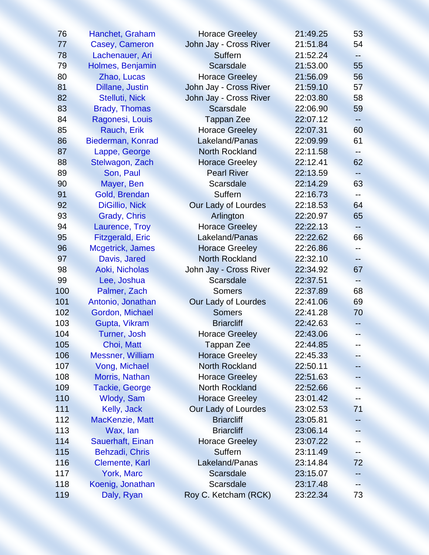| 76  | Hanchet, Graham         | <b>Horace Greeley</b>  | 21:49.25 | 53                       |
|-----|-------------------------|------------------------|----------|--------------------------|
| 77  | Casey, Cameron          | John Jay - Cross River | 21:51.84 | 54                       |
| 78  | Lachenauer, Ari         | Suffern                | 21:52.24 | ⊷                        |
| 79  | Holmes, Benjamin        | <b>Scarsdale</b>       | 21:53.00 | 55                       |
| 80  | Zhao, Lucas             | <b>Horace Greeley</b>  | 21:56.09 | 56                       |
| 81  | Dillane, Justin         | John Jay - Cross River | 21:59.10 | 57                       |
| 82  | Stelluti, Nick          | John Jay - Cross River | 22:03.80 | 58                       |
| 83  | <b>Brady, Thomas</b>    | <b>Scarsdale</b>       | 22:06.90 | 59                       |
| 84  | Ragonesi, Louis         | <b>Tappan Zee</b>      | 22:07.12 |                          |
| 85  | Rauch, Erik             | <b>Horace Greeley</b>  | 22:07.31 | 60                       |
| 86  | Biederman, Konrad       | Lakeland/Panas         | 22:09.99 | 61                       |
| 87  | Lappe, George           | <b>North Rockland</b>  | 22:11.58 | ∸–                       |
| 88  | Stelwagon, Zach         | <b>Horace Greeley</b>  | 22:12.41 | 62                       |
| 89  | Son, Paul               | <b>Pearl River</b>     | 22:13.59 | ÷                        |
| 90  | Mayer, Ben              | <b>Scarsdale</b>       | 22:14.29 | 63                       |
| 91  | Gold, Brendan           | <b>Suffern</b>         | 22:16.73 |                          |
| 92  | <b>DiGillio, Nick</b>   | Our Lady of Lourdes    | 22:18.53 | 64                       |
| 93  | Grady, Chris            | Arlington              | 22:20.97 | 65                       |
| 94  | Laurence, Troy          | <b>Horace Greeley</b>  | 22:22.13 |                          |
| 95  | <b>Fitzgerald, Eric</b> | Lakeland/Panas         | 22:22.62 | 66                       |
| 96  | Mcgetrick, James        | <b>Horace Greeley</b>  | 22:26.86 | ÷÷.                      |
| 97  | Davis, Jared            | <b>North Rockland</b>  | 22:32.10 | $\overline{\phantom{a}}$ |
| 98  | Aoki, Nicholas          | John Jay - Cross River | 22:34.92 | 67                       |
| 99  | Lee, Joshua             | <b>Scarsdale</b>       | 22:37.51 | ÷÷.                      |
| 100 | Palmer, Zach            | <b>Somers</b>          | 22:37.89 | 68                       |
| 101 | Antonio, Jonathan       | Our Lady of Lourdes    | 22:41.06 | 69                       |
| 102 | Gordon, Michael         | <b>Somers</b>          | 22:41.28 | 70                       |
| 103 | Gupta, Vikram           | <b>Briarcliff</b>      | 22:42.63 |                          |
| 104 | <b>Turner, Josh</b>     | <b>Horace Greeley</b>  | 22:43.06 | --                       |
| 105 | Choi, Matt              | <b>Tappan Zee</b>      | 22:44.85 |                          |
| 106 | <b>Messner, William</b> | <b>Horace Greeley</b>  | 22:45.33 |                          |
| 107 | Vong, Michael           | <b>North Rockland</b>  | 22:50.11 |                          |
| 108 | Morris, Nathan          | <b>Horace Greeley</b>  | 22:51.63 |                          |
| 109 | <b>Tackie, George</b>   | <b>North Rockland</b>  | 22:52.66 |                          |
| 110 | <b>Wlody, Sam</b>       | <b>Horace Greeley</b>  | 23:01.42 |                          |
| 111 | Kelly, Jack             | Our Lady of Lourdes    | 23:02.53 | 71                       |
| 112 | <b>MacKenzie, Matt</b>  | <b>Briarcliff</b>      | 23:05.81 |                          |
| 113 | Wax, lan                | <b>Briarcliff</b>      | 23:06.14 |                          |
| 114 | <b>Sauerhaft, Einan</b> | <b>Horace Greeley</b>  | 23:07.22 |                          |
| 115 | Behzadi, Chris          | Suffern                | 23:11.49 |                          |
| 116 | <b>Clemente, Karl</b>   | Lakeland/Panas         | 23:14.84 | 72                       |
| 117 | <b>York, Marc</b>       | <b>Scarsdale</b>       | 23:15.07 |                          |
| 118 | Koenig, Jonathan        | <b>Scarsdale</b>       | 23:17.48 |                          |
| 119 | Daly, Ryan              | Roy C. Ketcham (RCK)   | 23:22.34 | 73                       |
|     |                         |                        |          |                          |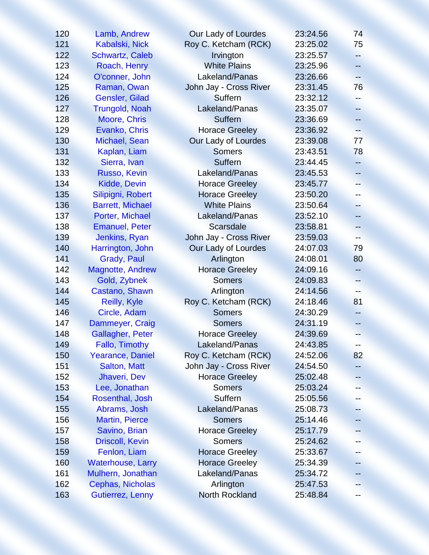| 120 | Lamb, Andrew             | Our Lady of Lourdes    | 23:24.56 | 74   |
|-----|--------------------------|------------------------|----------|------|
| 121 | Kabalski, Nick           | Roy C. Ketcham (RCK)   | 23:25.02 | 75   |
| 122 | <b>Schwartz, Caleb</b>   | Irvington              | 23:25.57 | -−   |
| 123 | Roach, Henry             | <b>White Plains</b>    | 23:25.96 | н.   |
| 124 | O'conner, John           | Lakeland/Panas         | 23:26.66 | $-$  |
| 125 | Raman, Owan              | John Jay - Cross River | 23:31.45 | 76   |
| 126 | Gensler, Gilad           | Suffern                | 23:32.12 | ÷÷   |
| 127 | <b>Trungold, Noah</b>    | Lakeland/Panas         | 23:35.07 | --   |
| 128 | Moore, Chris             | <b>Suffern</b>         | 23:36.69 |      |
| 129 | Evanko, Chris            | <b>Horace Greeley</b>  | 23:36.92 |      |
| 130 | Michael, Sean            | Our Lady of Lourdes    | 23:39.08 | 77   |
| 131 | Kaplan, Liam             | <b>Somers</b>          | 23:43.51 | 78   |
| 132 | Sierra, Ivan             | <b>Suffern</b>         | 23:44.45 | --   |
| 133 | Russo, Kevin             | Lakeland/Panas         | 23:45.53 | --   |
| 134 | Kidde, Devin             | <b>Horace Greeley</b>  | 23:45.77 | --   |
| 135 | Silipigni, Robert        | <b>Horace Greeley</b>  | 23:50.20 |      |
| 136 | <b>Barrett, Michael</b>  | <b>White Plains</b>    | 23:50.64 | $-$  |
| 137 | Porter, Michael          | Lakeland/Panas         | 23:52.10 | --   |
| 138 | <b>Emanuel, Peter</b>    | <b>Scarsdale</b>       | 23:58.81 |      |
| 139 | Jenkins, Ryan            | John Jay - Cross River | 23:59.03 |      |
| 140 | Harrington, John         | Our Lady of Lourdes    | 24:07.03 | 79   |
| 141 | Grady, Paul              | Arlington              | 24:08.01 | 80   |
| 142 | Magnotte, Andrew         | <b>Horace Greeley</b>  | 24:09.16 | --   |
| 143 | Gold, Zybnek             | <b>Somers</b>          | 24:09.83 | --   |
| 144 | Castano, Shawn           | Arlington              | 24:14.56 | --   |
| 145 | Reilly, Kyle             | Roy C. Ketcham (RCK)   | 24:18.46 | 81   |
| 146 | Circle, Adam             | <b>Somers</b>          | 24:30.29 | -−   |
| 147 | Dammeyer, Craig          | <b>Somers</b>          | 24:31.19 | -- 1 |
| 148 | <b>Gallagher, Peter</b>  | <b>Horace Greeley</b>  | 24:39.69 | --   |
| 149 | Fallo, Timothy           | Lakeland/Panas         | 24:43.85 |      |
| 150 | <b>Yearance, Daniel</b>  | Roy C. Ketcham (RCK)   | 24:52.06 | 82   |
| 151 | Salton, Matt             | John Jay - Cross River | 24:54.50 |      |
| 152 | Jhaveri, Dev             | <b>Horace Greeley</b>  | 25:02.48 |      |
| 153 | Lee, Jonathan            | <b>Somers</b>          | 25:03.24 |      |
| 154 | Rosenthal, Josh          | Suffern                | 25:05.56 |      |
| 155 | Abrams, Josh             | Lakeland/Panas         | 25:08.73 |      |
| 156 | <b>Martin, Pierce</b>    | <b>Somers</b>          | 25:14.46 |      |
| 157 | Savino, Brian            | <b>Horace Greeley</b>  | 25:17.79 |      |
| 158 | <b>Driscoll, Kevin</b>   | <b>Somers</b>          | 25:24.62 |      |
| 159 | Fenlon, Liam             | <b>Horace Greeley</b>  | 25:33.67 |      |
| 160 | <b>Waterhouse, Larry</b> | <b>Horace Greeley</b>  | 25:34.39 |      |
| 161 | Mulhern, Jonathan        | Lakeland/Panas         | 25:34.72 |      |
| 162 | Cephas, Nicholas         | Arlington              | 25:47.53 |      |
| 163 | Gutierrez, Lenny         | <b>North Rockland</b>  | 25:48.84 |      |